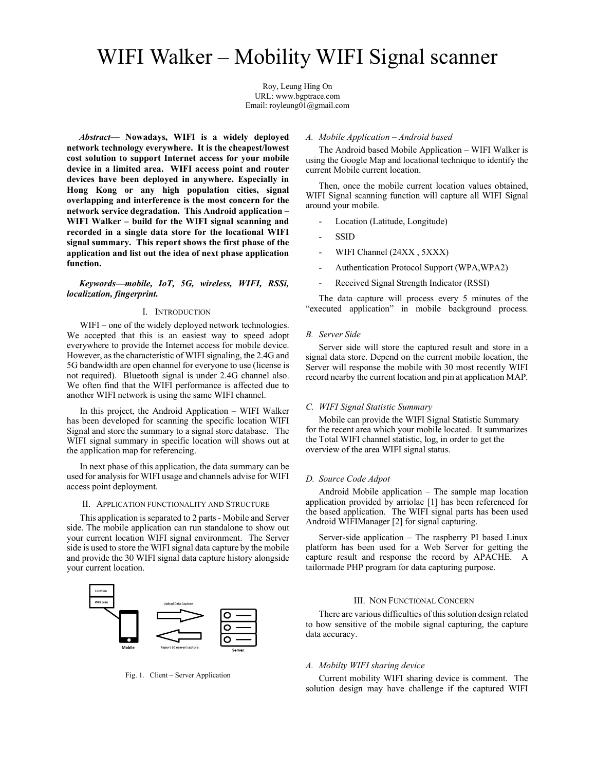# WIFI Walker – Mobility WIFI Signal scanner

Roy, Leung Hing On URL: www.bgptrace.com Email: royleung01@gmail.com

Abstract— Nowadays, WIFI is a widely deployed network technology everywhere. It is the cheapest/lowest cost solution to support Internet access for your mobile device in a limited area. WIFI access point and router devices have been deployed in anywhere. Especially in Hong Kong or any high population cities, signal overlapping and interference is the most concern for the network service degradation. This Android application – WIFI Walker – build for the WIFI signal scanning and recorded in a single data store for the locational WIFI signal summary. This report shows the first phase of the application and list out the idea of next phase application function.

# Keywords—mobile, IoT, 5G, wireless, WIFI, RSSi, localization, fingerprint.

# I. INTRODUCTION

WIFI – one of the widely deployed network technologies. We accepted that this is an easiest way to speed adopt everywhere to provide the Internet access for mobile device. However, as the characteristic of WIFI signaling, the 2.4G and 5G bandwidth are open channel for everyone to use (license is not required). Bluetooth signal is under 2.4G channel also. We often find that the WIFI performance is affected due to another WIFI network is using the same WIFI channel.

In this project, the Android Application – WIFI Walker has been developed for scanning the specific location WIFI Signal and store the summary to a signal store database. The WIFI signal summary in specific location will shows out at the application map for referencing.

In next phase of this application, the data summary can be used for analysis for WIFI usage and channels advise for WIFI access point deployment.

#### II. APPLICATION FUNCTIONALITY AND STRUCTURE

This application is separated to 2 parts - Mobile and Server side. The mobile application can run standalone to show out your current location WIFI signal environment. The Server side is used to store the WIFI signal data capture by the mobile and provide the 30 WIFI signal data capture history alongside your current location.



Fig. 1. Client – Server Application

# A. Mobile Application – Android based

The Android based Mobile Application – WIFI Walker is using the Google Map and locational technique to identify the current Mobile current location.

Then, once the mobile current location values obtained, WIFI Signal scanning function will capture all WIFI Signal around your mobile.

- Location (Latitude, Longitude)
- **SSID**
- WIFI Channel (24XX, 5XXX)
- Authentication Protocol Support (WPA,WPA2)
- Received Signal Strength Indicator (RSSI)

 The data capture will process every 5 minutes of the "executed application" in mobile background process.

## B. Server Side

Server side will store the captured result and store in a signal data store. Depend on the current mobile location, the Server will response the mobile with 30 most recently WIFI record nearby the current location and pin at application MAP.

## C. WIFI Signal Statistic Summary

 Mobile can provide the WIFI Signal Statistic Summary for the recent area which your mobile located. It summarizes the Total WIFI channel statistic, log, in order to get the overview of the area WIFI signal status.

#### D. Source Code Adpot

Android Mobile application – The sample map location application provided by arriolac [1] has been referenced for the based application. The WIFI signal parts has been used Android WIFIManager [2] for signal capturing.

Server-side application – The raspberry PI based Linux platform has been used for a Web Server for getting the capture result and response the record by APACHE. A tailormade PHP program for data capturing purpose.

#### III. NON FUNCTIONAL CONCERN

There are various difficulties of this solution design related to how sensitive of the mobile signal capturing, the capture data accuracy.

### A. Mobilty WIFI sharing device

Current mobility WIFI sharing device is comment. The solution design may have challenge if the captured WIFI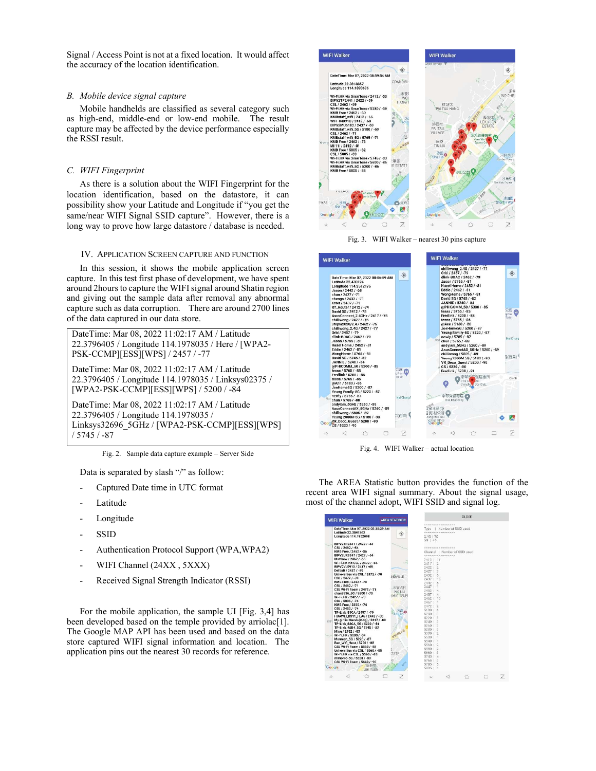Signal / Access Point is not at a fixed location. It would affect the accuracy of the location identification.

# B. Mobile device signal capture

Mobile handhelds are classified as several category such as high-end, middle-end or low-end mobile. The result capture may be affected by the device performance especially the RSSI result.

# C. WIFI Fingerprint

As there is a solution about the WIFI Fingerprint for the location identification, based on the datastore, it can possibility show your Latitude and Longitude if "you get the same/near WIFI Signal SSID capture". However, there is a long way to prove how large datastore / database is needed.

# IV. APPLICATION SCREEN CAPTURE AND FUNCTION

In this session, it shows the mobile application screen capture. In this test first phase of development, we have spent around 2hours to capture the WIFI signal around Shatin region and giving out the sample data after removal any abnormal capture such as data corruption. There are around 2700 lines of the data captured in our data store.

DateTime: Mar 08, 2022 11:02:17 AM / Latitude 22.3796405 / Longitude 114.1978035 / Here / [WPA2- PSK-CCMP][ESS][WPS] / 2457 / -77

DateTime: Mar 08, 2022 11:02:17 AM / Latitude 22.3796405 / Longitude 114.1978035 / Linksys02375 / [WPA2-PSK-CCMP][ESS][WPS] / 5200 / -84

DateTime: Mar 08, 2022 11:02:17 AM / Latitude 22.3796405 / Longitude 114.1978035 / Linksys32696\_5GHz / [WPA2-PSK-CCMP][ESS][WPS] / 5745 / -87

Fig. 2. Sample data capture example – Server Side

Data is separated by slash "/" as follow:

- Captured Date time in UTC format
- Latitude
- Longitude
- **SSID**
- Authentication Protocol Support (WPA,WPA2)
- WIFI Channel (24XX, 5XXX)
- Received Signal Strength Indicator (RSSI)

For the mobile application, the sample UI [Fig. 3,4] has been developed based on the temple provided by arriolac<sup>[1]</sup>. The Google MAP API has been used and based on the data store captured WIFI signal information and location. The application pins out the nearest 30 records for reference.



Fig. 3. WIFI Walker – nearest 30 pins capture





The AREA Statistic button provides the function of the recent area WIFI signal summary. About the signal usage, most of the channel adopt, WIFI SSID and signal log.